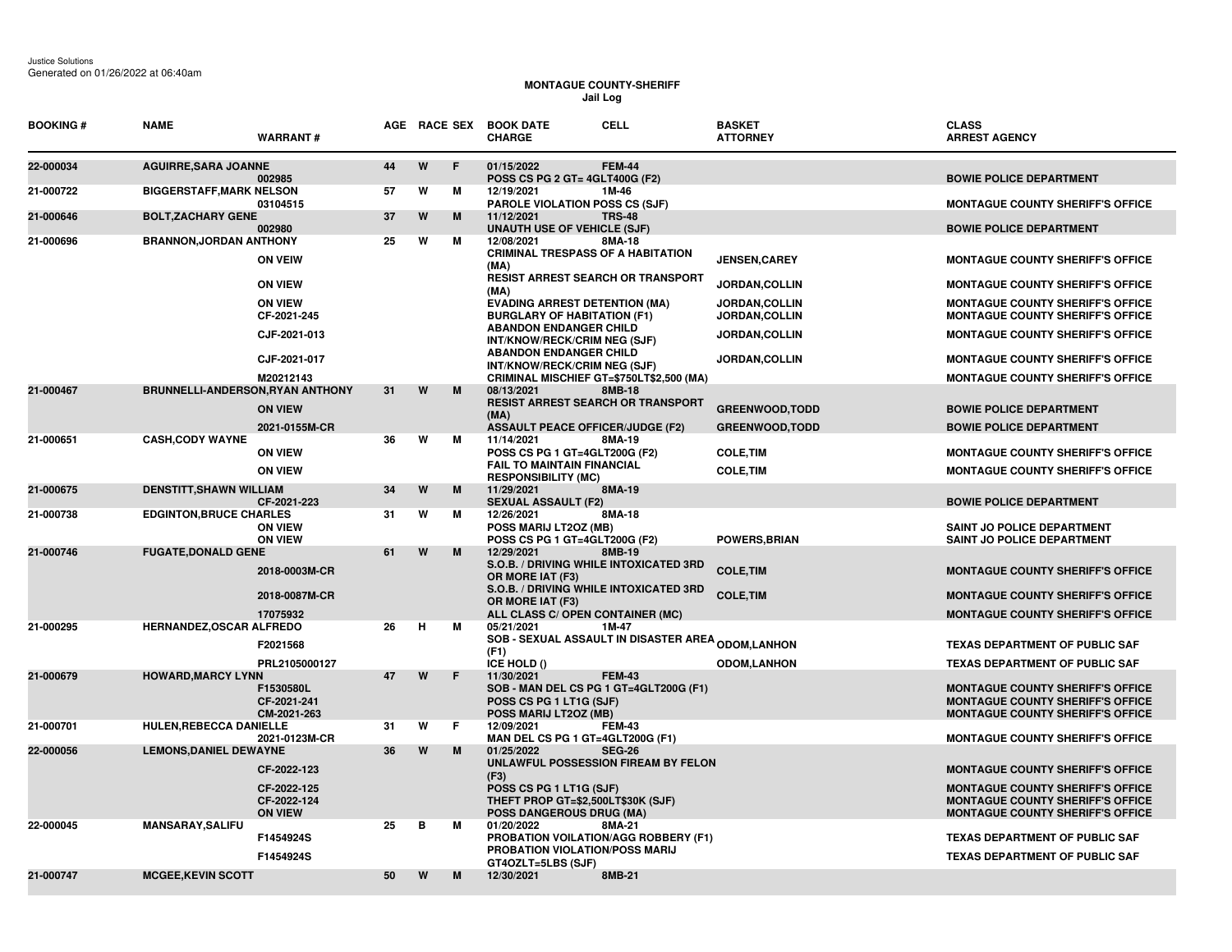## **MONTAGUE COUNTY-SHERIFF Jail Log**

| <b>BOOKING#</b> | <b>NAME</b>                      | <b>WARRANT#</b>                              |    |   |   | <b>CELL</b><br>AGE RACE SEX BOOK DATE<br><b>CHARGE</b>                                                                    | <b>BASKET</b><br><b>ATTORNEY</b> | <b>CLASS</b><br><b>ARREST AGENCY</b>                                                                                          |
|-----------------|----------------------------------|----------------------------------------------|----|---|---|---------------------------------------------------------------------------------------------------------------------------|----------------------------------|-------------------------------------------------------------------------------------------------------------------------------|
| 22-000034       | <b>AGUIRRE, SARA JOANNE</b>      | 002985                                       | 44 | W | E | 01/15/2022<br><b>FEM-44</b><br>POSS CS PG 2 GT= 4GLT400G (F2)                                                             |                                  | <b>BOWIE POLICE DEPARTMENT</b>                                                                                                |
| 21-000722       | <b>BIGGERSTAFF, MARK NELSON</b>  | 03104515                                     | 57 | W | M | 12/19/2021<br>1M-46<br><b>PAROLE VIOLATION POSS CS (SJF)</b>                                                              |                                  | <b>MONTAGUE COUNTY SHERIFF'S OFFICE</b>                                                                                       |
| 21-000646       | <b>BOLT, ZACHARY GENE</b>        | 002980                                       | 37 | W | M | 11/12/2021<br><b>TRS-48</b><br><b>UNAUTH USE OF VEHICLE (SJF)</b>                                                         |                                  | <b>BOWIE POLICE DEPARTMENT</b>                                                                                                |
| 21-000696       | <b>BRANNON, JORDAN ANTHONY</b>   | <b>ON VEIW</b>                               | 25 | w | М | 12/08/2021<br>8MA-18<br><b>CRIMINAL TRESPASS OF A HABITATION</b><br>(MA)                                                  | <b>JENSEN.CAREY</b>              | <b>MONTAGUE COUNTY SHERIFF'S OFFICE</b>                                                                                       |
|                 |                                  | <b>ON VIEW</b>                               |    |   |   | <b>RESIST ARREST SEARCH OR TRANSPORT</b><br>(MA)                                                                          | JORDAN, COLLIN                   | <b>MONTAGUE COUNTY SHERIFF'S OFFICE</b>                                                                                       |
|                 |                                  | <b>ON VIEW</b><br>CF-2021-245                |    |   |   | <b>EVADING ARREST DETENTION (MA)</b><br><b>BURGLARY OF HABITATION (F1)</b>                                                | JORDAN, COLLIN<br>JORDAN, COLLIN | <b>MONTAGUE COUNTY SHERIFF'S OFFICE</b><br><b>MONTAGUE COUNTY SHERIFF'S OFFICE</b>                                            |
|                 |                                  | CJF-2021-013                                 |    |   |   | <b>ABANDON ENDANGER CHILD</b><br>INT/KNOW/RECK/CRIM NEG (SJF)                                                             | JORDAN, COLLIN                   | <b>MONTAGUE COUNTY SHERIFF'S OFFICE</b>                                                                                       |
|                 |                                  | CJF-2021-017                                 |    |   |   | <b>ABANDON ENDANGER CHILD</b><br>INT/KNOW/RECK/CRIM NEG (SJF)                                                             | <b>JORDAN,COLLIN</b>             | <b>MONTAGUE COUNTY SHERIFF'S OFFICE</b>                                                                                       |
| 21-000467       | BRUNNELLI-ANDERSON, RYAN ANTHONY | M20212143                                    | 31 | W | M | CRIMINAL MISCHIEF GT=\$750LT\$2,500 (MA)<br>08/13/2021<br>8MB-18                                                          |                                  | <b>MONTAGUE COUNTY SHERIFF'S OFFICE</b>                                                                                       |
|                 |                                  | <b>ON VIEW</b>                               |    |   |   | <b>RESIST ARREST SEARCH OR TRANSPORT</b><br>(MA)                                                                          | <b>GREENWOOD, TODD</b>           | <b>BOWIE POLICE DEPARTMENT</b>                                                                                                |
| 21-000651       | <b>CASH, CODY WAYNE</b>          | 2021-0155M-CR                                | 36 | W | M | <b>ASSAULT PEACE OFFICER/JUDGE (F2)</b><br>11/14/2021<br>8MA-19                                                           | <b>GREENWOOD, TODD</b>           | <b>BOWIE POLICE DEPARTMENT</b>                                                                                                |
|                 |                                  | <b>ON VIEW</b>                               |    |   |   | POSS CS PG 1 GT=4GLT200G (F2)                                                                                             | <b>COLE, TIM</b>                 | <b>MONTAGUE COUNTY SHERIFF'S OFFICE</b>                                                                                       |
|                 |                                  | <b>ON VIEW</b>                               |    |   |   | <b>FAIL TO MAINTAIN FINANCIAL</b><br><b>RESPONSIBILITY (MC)</b>                                                           | <b>COLE, TIM</b>                 | <b>MONTAGUE COUNTY SHERIFF'S OFFICE</b>                                                                                       |
| 21-000675       | <b>DENSTITT, SHAWN WILLIAM</b>   | CF-2021-223                                  | 34 | W | M | 11/29/2021<br>8MA-19<br><b>SEXUAL ASSAULT (F2)</b>                                                                        |                                  | <b>BOWIE POLICE DEPARTMENT</b>                                                                                                |
| 21-000738       | <b>EDGINTON, BRUCE CHARLES</b>   | <b>ON VIEW</b><br><b>ON VIEW</b>             | 31 | W | м | 12/26/2021<br>8MA-18<br>POSS MARIJ LT2OZ (MB)<br>POSS CS PG 1 GT=4GLT200G (F2)                                            | <b>POWERS, BRIAN</b>             | SAINT JO POLICE DEPARTMENT<br>SAINT JO POLICE DEPARTMENT                                                                      |
| 21-000746       | <b>FUGATE, DONALD GENE</b>       |                                              | 61 | W | M | 12/29/2021<br>8MB-19                                                                                                      |                                  |                                                                                                                               |
|                 |                                  | 2018-0003M-CR                                |    |   |   | S.O.B. / DRIVING WHILE INTOXICATED 3RD<br>OR MORE IAT (F3)                                                                | <b>COLE, TIM</b>                 | <b>MONTAGUE COUNTY SHERIFF'S OFFICE</b>                                                                                       |
|                 |                                  | 2018-0087M-CR                                |    |   |   | S.O.B. / DRIVING WHILE INTOXICATED 3RD<br>OR MORE IAT (F3)                                                                | <b>COLE, TIM</b>                 | <b>MONTAGUE COUNTY SHERIFF'S OFFICE</b>                                                                                       |
| 21-000295       | HERNANDEZ, OSCAR ALFREDO         | 17075932                                     | 26 | н | м | ALL CLASS C/ OPEN CONTAINER (MC)<br>05/21/2021<br>1M-47                                                                   |                                  | <b>MONTAGUE COUNTY SHERIFF'S OFFICE</b>                                                                                       |
|                 |                                  | F2021568                                     |    |   |   | <b>SOB - SEXUAL ASSAULT IN DISASTER AREA <sub>ODOM,</sub>LANHON</b><br>(F1)                                               |                                  | <b>TEXAS DEPARTMENT OF PUBLIC SAF</b>                                                                                         |
|                 |                                  | PRL2105000127                                |    |   |   | ICE HOLD ()                                                                                                               | <b>ODOM,LANHON</b>               | <b>TEXAS DEPARTMENT OF PUBLIC SAF</b>                                                                                         |
| 21-000679       | <b>HOWARD, MARCY LYNN</b>        | F1530580L<br>CF-2021-241<br>CM-2021-263      | 47 | W | F | 11/30/2021<br><b>FEM-43</b><br>SOB - MAN DEL CS PG 1 GT=4GLT200G (F1)<br>POSS CS PG 1 LT1G (SJF)<br>POSS MARIJ LT2OZ (MB) |                                  | <b>MONTAGUE COUNTY SHERIFF'S OFFICE</b><br><b>MONTAGUE COUNTY SHERIFF'S OFFICE</b><br><b>MONTAGUE COUNTY SHERIFF'S OFFICE</b> |
| 21-000701       | HULEN, REBECCA DANIELLE          | 2021-0123M-CR                                | 31 | W | E | 12/09/2021<br><b>FEM-43</b><br>MAN DEL CS PG 1 GT=4GLT200G (F1)                                                           |                                  | <b>MONTAGUE COUNTY SHERIFF'S OFFICE</b>                                                                                       |
| 22-000056       | <b>LEMONS, DANIEL DEWAYNE</b>    |                                              | 36 | W | M | 01/25/2022<br><b>SEG-26</b>                                                                                               |                                  |                                                                                                                               |
|                 |                                  | CF-2022-123                                  |    |   |   | UNLAWFUL POSSESSION FIREAM BY FELON<br>(F3)                                                                               |                                  | <b>MONTAGUE COUNTY SHERIFF'S OFFICE</b>                                                                                       |
|                 |                                  | CF-2022-125<br>CF-2022-124<br><b>ON VIEW</b> |    |   |   | POSS CS PG 1 LT1G (SJF)<br>THEFT PROP GT=\$2,500LT\$30K (SJF)<br><b>POSS DANGEROUS DRUG (MA)</b>                          |                                  | <b>MONTAGUE COUNTY SHERIFF'S OFFICE</b><br><b>MONTAGUE COUNTY SHERIFF'S OFFICE</b><br><b>MONTAGUE COUNTY SHERIFF'S OFFICE</b> |
| 22-000045       | <b>MANSARAY, SALIFU</b>          | F1454924S                                    | 25 | в | м | 01/20/2022<br>8MA-21<br><b>PROBATION VOILATION/AGG ROBBERY (F1)</b>                                                       |                                  | <b>TEXAS DEPARTMENT OF PUBLIC SAF</b>                                                                                         |
|                 |                                  | F1454924S                                    |    |   |   | PROBATION VIOLATION/POSS MARIJ                                                                                            |                                  | <b>TEXAS DEPARTMENT OF PUBLIC SAF</b>                                                                                         |
| 21-000747       | <b>MCGEE, KEVIN SCOTT</b>        |                                              | 50 | W | M | GT4OZLT=5LBS (SJF)<br>12/30/2021<br>8MB-21                                                                                |                                  |                                                                                                                               |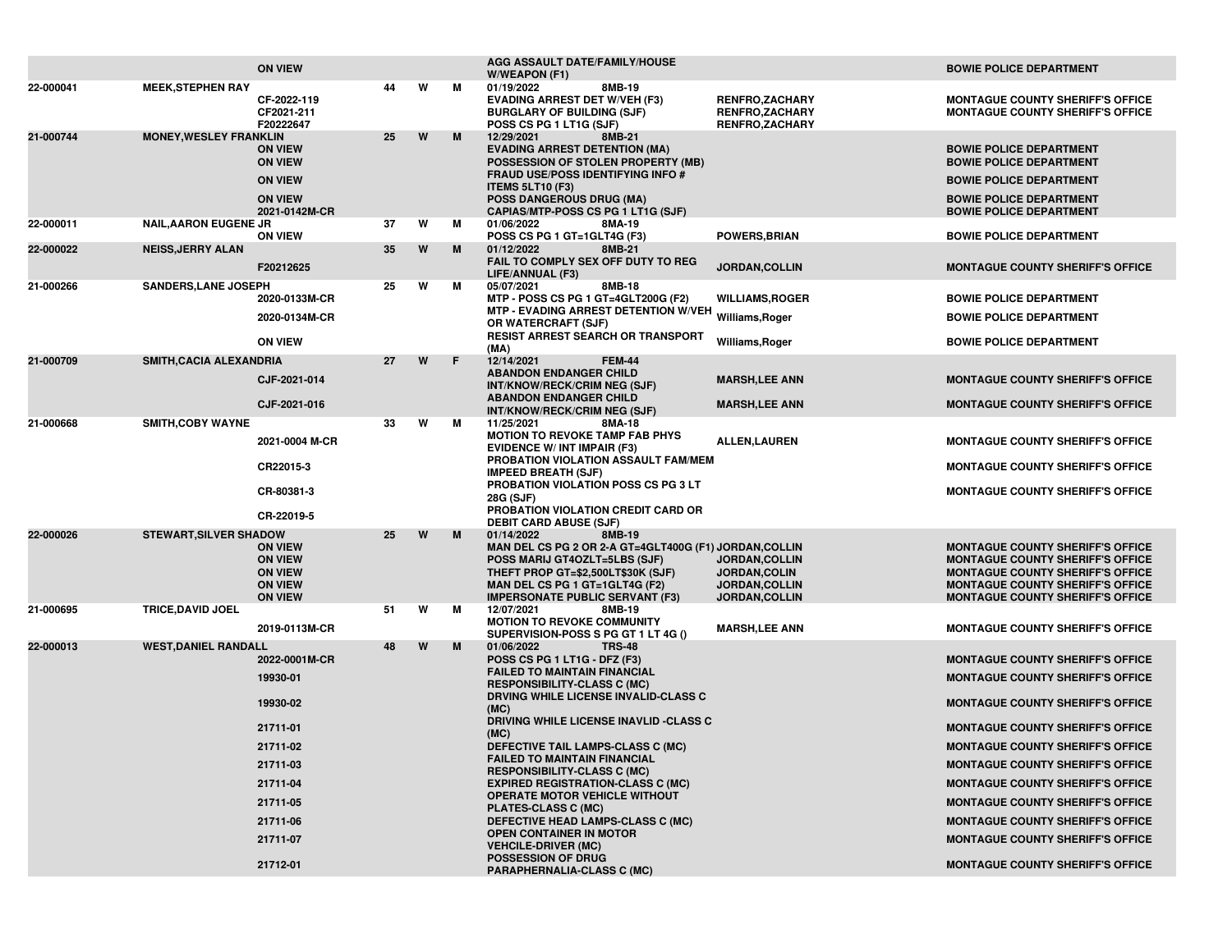|           |                               | <b>ON VIEW</b>                                                                         |    |   |   | AGG ASSAULT DATE/FAMILY/HOUSE<br>W/WEAPON (F1)                                                                                                                                                                                    |                                                                                    | <b>BOWIE POLICE DEPARTMENT</b>                                                                                                                                                                                      |
|-----------|-------------------------------|----------------------------------------------------------------------------------------|----|---|---|-----------------------------------------------------------------------------------------------------------------------------------------------------------------------------------------------------------------------------------|------------------------------------------------------------------------------------|---------------------------------------------------------------------------------------------------------------------------------------------------------------------------------------------------------------------|
| 22-000041 | <b>MEEK, STEPHEN RAY</b>      | CF-2022-119<br>CF2021-211<br>F20222647                                                 | 44 | W | М | 01/19/2022<br>8MB-19<br><b>EVADING ARREST DET W/VEH (F3)</b><br><b>BURGLARY OF BUILDING (SJF)</b><br>POSS CS PG 1 LT1G (SJF)                                                                                                      | <b>RENFRO,ZACHARY</b><br><b>RENFRO,ZACHARY</b><br><b>RENFRO,ZACHARY</b>            | <b>MONTAGUE COUNTY SHERIFF'S OFFICE</b><br><b>MONTAGUE COUNTY SHERIFF'S OFFICE</b>                                                                                                                                  |
| 21-000744 | <b>MONEY, WESLEY FRANKLIN</b> | <b>ON VIEW</b><br><b>ON VIEW</b>                                                       | 25 | W | M | 12/29/2021<br>8MB-21<br><b>EVADING ARREST DETENTION (MA)</b><br>POSSESSION OF STOLEN PROPERTY (MB)                                                                                                                                |                                                                                    | <b>BOWIE POLICE DEPARTMENT</b><br><b>BOWIE POLICE DEPARTMENT</b>                                                                                                                                                    |
|           |                               | <b>ON VIEW</b><br><b>ON VIEW</b>                                                       |    |   |   | <b>FRAUD USE/POSS IDENTIFYING INFO #</b><br><b>ITEMS 5LT10 (F3)</b><br><b>POSS DANGEROUS DRUG (MA)</b>                                                                                                                            |                                                                                    | <b>BOWIE POLICE DEPARTMENT</b><br><b>BOWIE POLICE DEPARTMENT</b>                                                                                                                                                    |
| 22-000011 | <b>NAIL, AARON EUGENE JR</b>  | 2021-0142M-CR                                                                          | 37 | W | M | CAPIAS/MTP-POSS CS PG 1 LT1G (SJF)<br>01/06/2022<br>8MA-19                                                                                                                                                                        |                                                                                    | <b>BOWIE POLICE DEPARTMENT</b>                                                                                                                                                                                      |
|           |                               | <b>ON VIEW</b>                                                                         |    |   |   | POSS CS PG 1 GT=1GLT4G (F3)                                                                                                                                                                                                       | <b>POWERS, BRIAN</b>                                                               | <b>BOWIE POLICE DEPARTMENT</b>                                                                                                                                                                                      |
| 22-000022 | <b>NEISS, JERRY ALAN</b>      | F20212625                                                                              | 35 | W | M | 01/12/2022<br>8MB-21<br>FAIL TO COMPLY SEX OFF DUTY TO REG<br>LIFE/ANNUAL (F3)                                                                                                                                                    | JORDAN, COLLIN                                                                     | MONTAGUE COUNTY SHERIFF'S OFFICE                                                                                                                                                                                    |
| 21-000266 | <b>SANDERS, LANE JOSEPH</b>   | 2020-0133M-CR                                                                          | 25 | W | М | 05/07/2021<br>8MB-18<br>MTP - POSS CS PG 1 GT=4GLT200G (F2)                                                                                                                                                                       | <b>WILLIAMS, ROGER</b>                                                             | <b>BOWIE POLICE DEPARTMENT</b>                                                                                                                                                                                      |
|           |                               | 2020-0134M-CR                                                                          |    |   |   | MTP - EVADING ARREST DETENTION W/VEH Williams, Roger<br>OR WATERCRAFT (SJF)                                                                                                                                                       |                                                                                    | <b>BOWIE POLICE DEPARTMENT</b>                                                                                                                                                                                      |
|           |                               | <b>ON VIEW</b>                                                                         |    |   |   | <b>RESIST ARREST SEARCH OR TRANSPORT</b><br>(MA)                                                                                                                                                                                  | Williams, Roger                                                                    | <b>BOWIE POLICE DEPARTMENT</b>                                                                                                                                                                                      |
| 21-000709 | SMITH, CACIA ALEXANDRIA       | CJF-2021-014                                                                           | 27 | W | F | 12/14/2021<br><b>FEM-44</b><br><b>ABANDON ENDANGER CHILD</b><br>INT/KNOW/RECK/CRIM NEG (SJF)                                                                                                                                      | <b>MARSH,LEE ANN</b>                                                               | <b>MONTAGUE COUNTY SHERIFF'S OFFICE</b>                                                                                                                                                                             |
|           |                               | CJF-2021-016                                                                           |    |   |   | <b>ABANDON ENDANGER CHILD</b><br>INT/KNOW/RECK/CRIM NEG (SJF)                                                                                                                                                                     | <b>MARSH,LEE ANN</b>                                                               | <b>MONTAGUE COUNTY SHERIFF'S OFFICE</b>                                                                                                                                                                             |
| 21-000668 | <b>SMITH, COBY WAYNE</b>      | 2021-0004 M-CR                                                                         | 33 | W | M | 11/25/2021<br>8MA-18<br><b>MOTION TO REVOKE TAMP FAB PHYS</b>                                                                                                                                                                     | <b>ALLEN, LAUREN</b>                                                               | <b>MONTAGUE COUNTY SHERIFF'S OFFICE</b>                                                                                                                                                                             |
|           |                               | CR22015-3                                                                              |    |   |   | <b>EVIDENCE W/ INT IMPAIR (F3)</b><br>PROBATION VIOLATION ASSAULT FAM/MEM                                                                                                                                                         |                                                                                    | <b>MONTAGUE COUNTY SHERIFF'S OFFICE</b>                                                                                                                                                                             |
|           |                               | CR-80381-3                                                                             |    |   |   | <b>IMPEED BREATH (SJF)</b><br>PROBATION VIOLATION POSS CS PG 3 LT<br>28G (SJF)                                                                                                                                                    |                                                                                    | <b>MONTAGUE COUNTY SHERIFF'S OFFICE</b>                                                                                                                                                                             |
|           |                               | CR-22019-5                                                                             |    |   |   | PROBATION VIOLATION CREDIT CARD OR<br><b>DEBIT CARD ABUSE (SJF)</b>                                                                                                                                                               |                                                                                    |                                                                                                                                                                                                                     |
| 22-000026 | <b>STEWART, SILVER SHADOW</b> | <b>ON VIEW</b><br><b>ON VIEW</b><br><b>ON VIEW</b><br><b>ON VIEW</b><br><b>ON VIEW</b> | 25 | W | M | 01/14/2022<br>8MB-19<br>MAN DEL CS PG 2 OR 2-A GT=4GLT400G (F1) JORDAN, COLLIN<br>POSS MARIJ GT4OZLT=5LBS (SJF)<br>THEFT PROP GT=\$2,500LT\$30K (SJF)<br>MAN DEL CS PG 1 GT=1GLT4G (F2)<br><b>IMPERSONATE PUBLIC SERVANT (F3)</b> | <b>JORDAN,COLLIN</b><br><b>JORDAN,COLIN</b><br>JORDAN, COLLIN<br>JORDAN, COLLIN    | <b>MONTAGUE COUNTY SHERIFF'S OFFICE</b><br><b>MONTAGUE COUNTY SHERIFF'S OFFICE</b><br><b>MONTAGUE COUNTY SHERIFF'S OFFICE</b><br><b>MONTAGUE COUNTY SHERIFF'S OFFICE</b><br><b>MONTAGUE COUNTY SHERIFF'S OFFICE</b> |
| 21-000695 | TRICE, DAVID JOEL             | 2019-0113M-CR                                                                          | 51 | W | M | 12/07/2021<br>8MB-19<br><b>MOTION TO REVOKE COMMUNITY</b>                                                                                                                                                                         | <b>MARSH,LEE ANN</b>                                                               | <b>MONTAGUE COUNTY SHERIFF'S OFFICE</b>                                                                                                                                                                             |
| 22-000013 | <b>WEST, DANIEL RANDALL</b>   |                                                                                        | 48 | W | M | SUPERVISION-POSS S PG GT 1 LT 4G ()<br>01/06/2022<br><b>TRS-48</b>                                                                                                                                                                |                                                                                    |                                                                                                                                                                                                                     |
|           |                               | 2022-0001M-CR                                                                          |    |   |   | POSS CS PG 1 LT1G - DFZ (F3)<br><b>FAILED TO MAINTAIN FINANCIAL</b>                                                                                                                                                               |                                                                                    | <b>MONTAGUE COUNTY SHERIFF'S OFFICE</b>                                                                                                                                                                             |
|           |                               | 19930-01                                                                               |    |   |   | <b>RESPONSIBILITY-CLASS C (MC)</b><br>DRVING WHILE LICENSE INVALID-CLASS C                                                                                                                                                        |                                                                                    | <b>MONTAGUE COUNTY SHERIFF'S OFFICE</b>                                                                                                                                                                             |
|           |                               | 19930-02                                                                               |    |   |   | (MC)<br>DRIVING WHILE LICENSE INAVLID -CLASS C                                                                                                                                                                                    | <b>MONTAGUE COUNTY SHERIFF'S OFFICE</b>                                            |                                                                                                                                                                                                                     |
|           |                               | 21711-01                                                                               |    |   |   | (MC)                                                                                                                                                                                                                              |                                                                                    | <b>MONTAGUE COUNTY SHERIFF'S OFFICE</b>                                                                                                                                                                             |
|           |                               | 21711-02<br>21711-03                                                                   |    |   |   | DEFECTIVE TAIL LAMPS-CLASS C (MC)<br><b>FAILED TO MAINTAIN FINANCIAL</b>                                                                                                                                                          | <b>MONTAGUE COUNTY SHERIFF'S OFFICE</b>                                            |                                                                                                                                                                                                                     |
|           |                               | 21711-04                                                                               |    |   |   | <b>RESPONSIBILITY-CLASS C (MC)</b><br><b>EXPIRED REGISTRATION-CLASS C (MC)</b>                                                                                                                                                    | <b>MONTAGUE COUNTY SHERIFF'S OFFICE</b><br><b>MONTAGUE COUNTY SHERIFF'S OFFICE</b> |                                                                                                                                                                                                                     |
|           |                               | 21711-05                                                                               |    |   |   | <b>OPERATE MOTOR VEHICLE WITHOUT</b>                                                                                                                                                                                              | <b>MONTAGUE COUNTY SHERIFF'S OFFICE</b>                                            |                                                                                                                                                                                                                     |
|           |                               | 21711-06                                                                               |    |   |   | <b>PLATES-CLASS C (MC)</b><br>DEFECTIVE HEAD LAMPS-CLASS C (MC)                                                                                                                                                                   | <b>MONTAGUE COUNTY SHERIFF'S OFFICE</b>                                            |                                                                                                                                                                                                                     |
|           |                               | 21711-07                                                                               |    |   |   | <b>OPEN CONTAINER IN MOTOR</b><br><b>VEHCILE-DRIVER (MC)</b>                                                                                                                                                                      |                                                                                    | <b>MONTAGUE COUNTY SHERIFF'S OFFICE</b>                                                                                                                                                                             |
|           |                               | 21712-01                                                                               |    |   |   | <b>POSSESSION OF DRUG</b><br><b>PARAPHERNALIA-CLASS C (MC)</b>                                                                                                                                                                    |                                                                                    | <b>MONTAGUE COUNTY SHERIFF'S OFFICE</b>                                                                                                                                                                             |